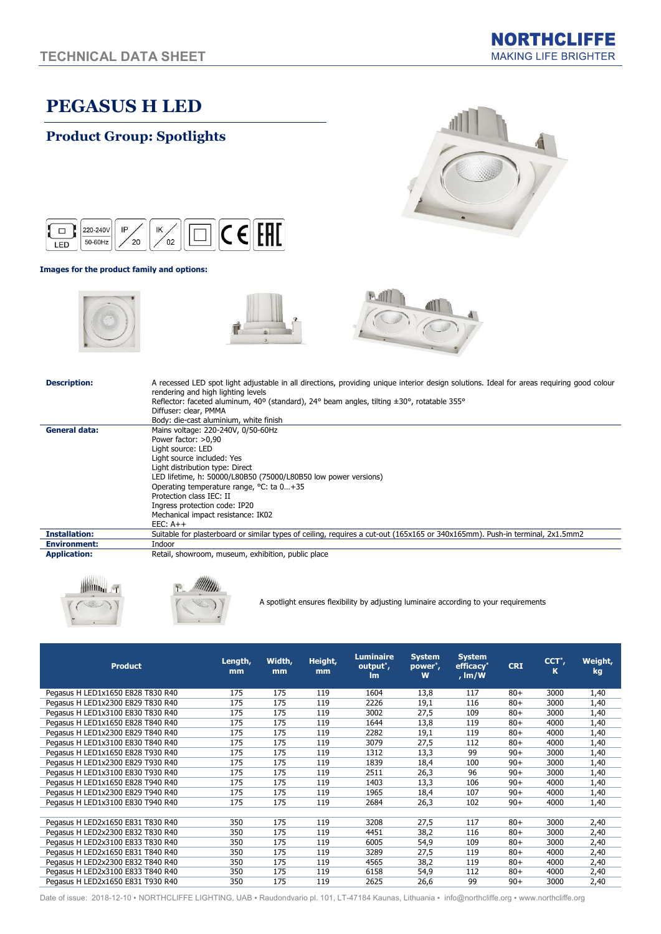# PEGASUS H LED





### Images for the product family and options:







#### Description: A recessed LED spot light adjustable in all directions, providing unique interior design solutions. Ideal for areas requiring good colour

|                      | Reflector: faceted aluminum, 40° (standard), 24° beam angles, tilting $\pm 30^{\circ}$ , rotatable 355°                      |  |  |  |  |  |  |  |  |
|----------------------|------------------------------------------------------------------------------------------------------------------------------|--|--|--|--|--|--|--|--|
|                      | Diffuser: clear, PMMA                                                                                                        |  |  |  |  |  |  |  |  |
|                      | Body: die-cast aluminium, white finish                                                                                       |  |  |  |  |  |  |  |  |
| General data:        | Mains voltage: 220-240V, 0/50-60Hz                                                                                           |  |  |  |  |  |  |  |  |
|                      | Power factor: >0,90                                                                                                          |  |  |  |  |  |  |  |  |
|                      | Light source: LED                                                                                                            |  |  |  |  |  |  |  |  |
|                      | Light source included: Yes                                                                                                   |  |  |  |  |  |  |  |  |
|                      | Light distribution type: Direct                                                                                              |  |  |  |  |  |  |  |  |
|                      | LED lifetime, h: 50000/L80B50 (75000/L80B50 low power versions)                                                              |  |  |  |  |  |  |  |  |
|                      | Operating temperature range, °C: ta 0+35                                                                                     |  |  |  |  |  |  |  |  |
|                      | Protection class IEC: II                                                                                                     |  |  |  |  |  |  |  |  |
|                      | Ingress protection code: IP20                                                                                                |  |  |  |  |  |  |  |  |
|                      | Mechanical impact resistance: IK02                                                                                           |  |  |  |  |  |  |  |  |
|                      | $EEC: A++$                                                                                                                   |  |  |  |  |  |  |  |  |
| <b>Installation:</b> | Suitable for plasterboard or similar types of ceiling, requires a cut-out (165x165 or 340x165mm). Push-in terminal, 2x1.5mm2 |  |  |  |  |  |  |  |  |
| <b>Environment:</b>  | Indoor                                                                                                                       |  |  |  |  |  |  |  |  |
| <b>Application:</b>  | Retail, showroom, museum, exhibition, public place                                                                           |  |  |  |  |  |  |  |  |







rendering and high lighting levels

A spotlight ensures flexibility by adjusting luminaire according to your requirements

| <b>Product</b>                    | Length,<br>mm | Width,<br>mm | Height,<br>mm | <b>Luminaire</b><br>output <sup>*</sup> ,<br><b>Im</b> | <b>System</b><br>power <sup>*</sup> ,<br>W | <b>System</b><br>efficacy <sup>*</sup><br>, $Im/W$ | <b>CRI</b> | CCT <sup>*</sup> ,<br>к | Weight,<br>kg |
|-----------------------------------|---------------|--------------|---------------|--------------------------------------------------------|--------------------------------------------|----------------------------------------------------|------------|-------------------------|---------------|
| Pegasus H LED1x1650 E828 T830 R40 | 175           | 175          | 119           | 1604                                                   | 13,8                                       | 117                                                | $80+$      | 3000                    | 1,40          |
| Pegasus H LED1x2300 E829 T830 R40 | 175           | 175          | 119           | 2226                                                   | 19,1                                       | 116                                                | $80+$      | 3000                    | 1,40          |
| Pegasus H LED1x3100 E830 T830 R40 | 175           | 175          | 119           | 3002                                                   | 27,5                                       | 109                                                | $80+$      | 3000                    | 1,40          |
| Pegasus H LED1x1650 E828 T840 R40 | 175           | 175          | 119           | 1644                                                   | 13,8                                       | 119                                                | $80+$      | 4000                    | 1,40          |
| Pegasus H LED1x2300 E829 T840 R40 | 175           | 175          | 119           | 2282                                                   | 19,1                                       | 119                                                | $80+$      | 4000                    | 1,40          |
| Pegasus H LED1x3100 E830 T840 R40 | 175           | 175          | 119           | 3079                                                   | 27,5                                       | 112                                                | $80+$      | 4000                    | 1,40          |
| Pegasus H LED1x1650 E828 T930 R40 | 175           | 175          | 119           | 1312                                                   | 13,3                                       | 99                                                 | $90+$      | 3000                    | 1,40          |
| Pegasus H LED1x2300 E829 T930 R40 | 175           | 175          | 119           | 1839                                                   | 18,4                                       | 100                                                | $90+$      | 3000                    | 1,40          |
| Pegasus H LED1x3100 E830 T930 R40 | 175           | 175          | 119           | 2511                                                   | 26,3                                       | 96                                                 | $90+$      | 3000                    | 1,40          |
| Pegasus H LED1x1650 E828 T940 R40 | 175           | 175          | 119           | 1403                                                   | 13,3                                       | 106                                                | $90+$      | 4000                    | 1,40          |
| Pegasus H LED1x2300 E829 T940 R40 | 175           | 175          | 119           | 1965                                                   | 18,4                                       | 107                                                | $90+$      | 4000                    | 1,40          |
| Pegasus H LED1x3100 E830 T940 R40 | 175           | 175          | 119           | 2684                                                   | 26,3                                       | 102                                                | $90+$      | 4000                    | 1,40          |
|                                   |               |              |               |                                                        |                                            |                                                    |            |                         |               |
| Pegasus H LED2x1650 E831 T830 R40 | 350           | 175          | 119           | 3208                                                   | 27,5                                       | 117                                                | $80+$      | 3000                    | 2,40          |
| Pegasus H LED2x2300 E832 T830 R40 | 350           | 175          | 119           | 4451                                                   | 38,2                                       | 116                                                | $80+$      | 3000                    | 2,40          |
| Pegasus H LED2x3100 E833 T830 R40 | 350           | 175          | 119           | 6005                                                   | 54,9                                       | 109                                                | $80+$      | 3000                    | 2,40          |
| Pegasus H LED2x1650 E831 T840 R40 | 350           | 175          | 119           | 3289                                                   | 27,5                                       | 119                                                | $80+$      | 4000                    | 2,40          |
| Pegasus H LED2x2300 E832 T840 R40 | 350           | 175          | 119           | 4565                                                   | 38,2                                       | 119                                                | $80+$      | 4000                    | 2,40          |
| Pegasus H LED2x3100 E833 T840 R40 | 350           | 175          | 119           | 6158                                                   | 54,9                                       | 112                                                | $80+$      | 4000                    | 2,40          |
| Pegasus H LED2x1650 E831 T930 R40 | 350           | 175          | 119           | 2625                                                   | 26,6                                       | 99                                                 | $90+$      | 3000                    | 2,40          |

Date of issue: 2018-12-10 • NORTHCLIFFE LIGHTING, UAB • Raudondvario pl. 101, LT-47184 Kaunas, Lithuania • info@northcliffe.org • www.northcliffe.org